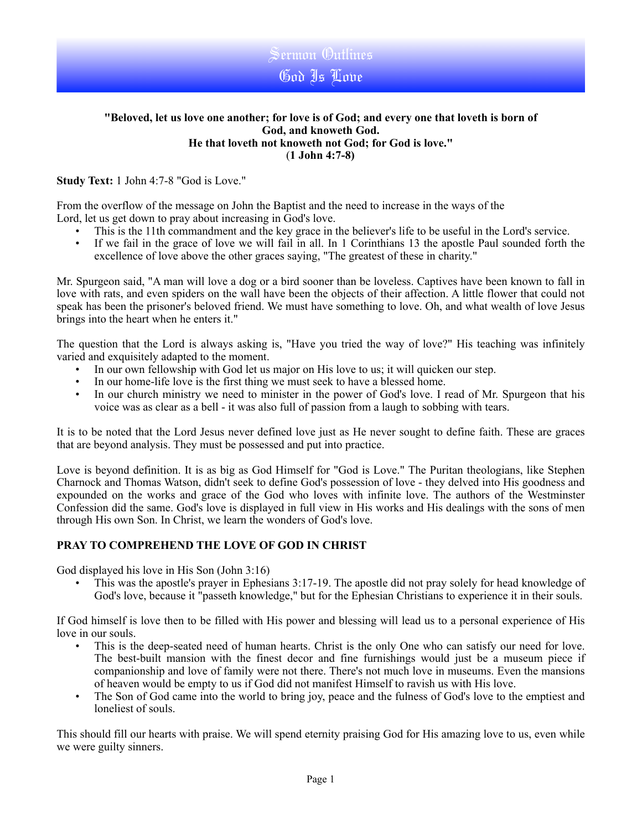

Sermon Outlines God Is Love

**Study Text:** 1 John 4:7-8 "God is Love."

From the overflow of the message on John the Baptist and the need to increase in the ways of the Lord, let us get down to pray about increasing in God's love.

- This is the 11th commandment and the key grace in the believer's life to be useful in the Lord's service.
- If we fail in the grace of love we will fail in all. In 1 Corinthians 13 the apostle Paul sounded forth the excellence of love above the other graces saying, "The greatest of these in charity."

Mr. Spurgeon said, "A man will love a dog or a bird sooner than be loveless. Captives have been known to fall in love with rats, and even spiders on the wall have been the objects of their affection. A little flower that could not speak has been the prisoner's beloved friend. We must have something to love. Oh, and what wealth of love Jesus brings into the heart when he enters it."

The question that the Lord is always asking is, "Have you tried the way of love?" His teaching was infinitely varied and exquisitely adapted to the moment.

- In our own fellowship with God let us major on His love to us; it will quicken our step.
- In our home-life love is the first thing we must seek to have a blessed home.
- In our church ministry we need to minister in the power of God's love. I read of Mr. Spurgeon that his voice was as clear as a bell - it was also full of passion from a laugh to sobbing with tears.

It is to be noted that the Lord Jesus never defined love just as He never sought to define faith. These are graces that are beyond analysis. They must be possessed and put into practice.

Love is beyond definition. It is as big as God Himself for "God is Love." The Puritan theologians, like Stephen Charnock and Thomas Watson, didn't seek to define God's possession of love - they delved into His goodness and expounded on the works and grace of the God who loves with infinite love. The authors of the Westminster Confession did the same. God's love is displayed in full view in His works and His dealings with the sons of men through His own Son. In Christ, we learn the wonders of God's love.

## **PRAY TO COMPREHEND THE LOVE OF GOD IN CHRIST**

God displayed his love in His Son (John 3:16)

• This was the apostle's prayer in Ephesians 3:17-19. The apostle did not pray solely for head knowledge of God's love, because it "passeth knowledge," but for the Ephesian Christians to experience it in their souls.

If God himself is love then to be filled with His power and blessing will lead us to a personal experience of His love in our souls.

- This is the deep-seated need of human hearts. Christ is the only One who can satisfy our need for love. The best-built mansion with the finest decor and fine furnishings would just be a museum piece if companionship and love of family were not there. There's not much love in museums. Even the mansions of heaven would be empty to us if God did not manifest Himself to ravish us with His love.
- The Son of God came into the world to bring joy, peace and the fulness of God's love to the emptiest and loneliest of souls.

This should fill our hearts with praise. We will spend eternity praising God for His amazing love to us, even while we were guilty sinners.